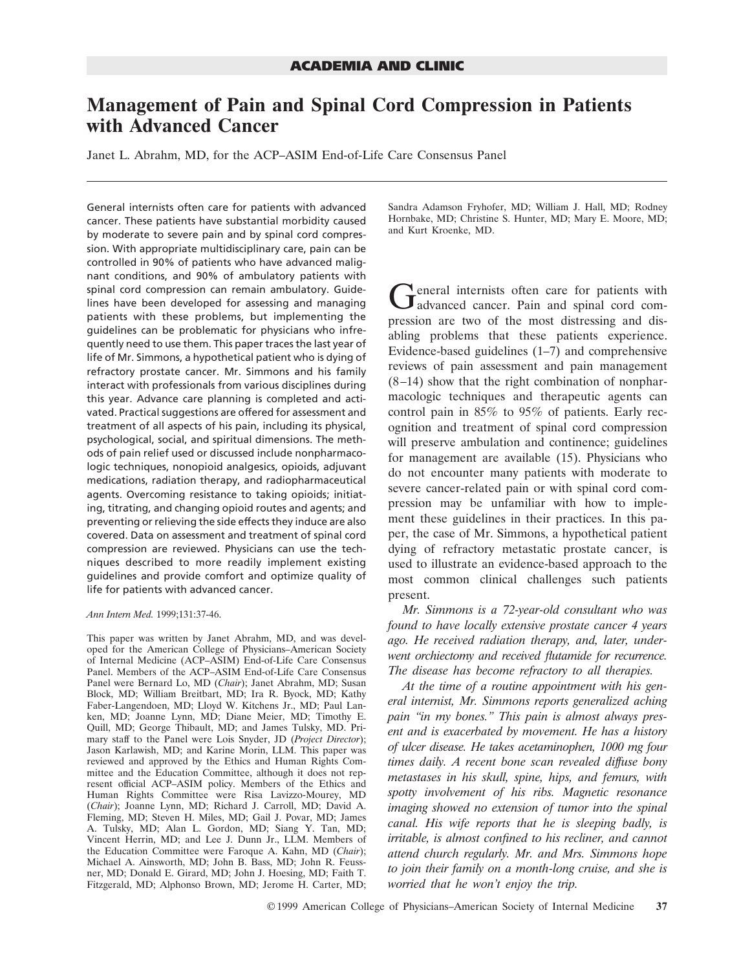# **Management of Pain and Spinal Cord Compression in Patients with Advanced Cancer**

Janet L. Abrahm, MD, for the ACP–ASIM End-of-Life Care Consensus Panel

General internists often care for patients with advanced cancer. These patients have substantial morbidity caused by moderate to severe pain and by spinal cord compression. With appropriate multidisciplinary care, pain can be controlled in 90% of patients who have advanced malignant conditions, and 90% of ambulatory patients with spinal cord compression can remain ambulatory. Guidelines have been developed for assessing and managing patients with these problems, but implementing the guidelines can be problematic for physicians who infrequently need to use them. This paper traces the last year of life of Mr. Simmons, a hypothetical patient who is dying of refractory prostate cancer. Mr. Simmons and his family interact with professionals from various disciplines during this year. Advance care planning is completed and activated. Practical suggestions are offered for assessment and treatment of all aspects of his pain, including its physical, psychological, social, and spiritual dimensions. The methods of pain relief used or discussed include nonpharmacologic techniques, nonopioid analgesics, opioids, adjuvant medications, radiation therapy, and radiopharmaceutical agents. Overcoming resistance to taking opioids; initiating, titrating, and changing opioid routes and agents; and preventing or relieving the side effects they induce are also covered. Data on assessment and treatment of spinal cord compression are reviewed. Physicians can use the techniques described to more readily implement existing guidelines and provide comfort and optimize quality of life for patients with advanced cancer.

#### *Ann Intern Med.* 1999;131:37-46.

This paper was written by Janet Abrahm, MD, and was developed for the American College of Physicians–American Society of Internal Medicine (ACP–ASIM) End-of-Life Care Consensus Panel. Members of the ACP–ASIM End-of-Life Care Consensus Panel were Bernard Lo, MD (*Chair*); Janet Abrahm, MD; Susan Block, MD; William Breitbart, MD; Ira R. Byock, MD; Kathy Faber-Langendoen, MD; Lloyd W. Kitchens Jr., MD; Paul Lanken, MD; Joanne Lynn, MD; Diane Meier, MD; Timothy E. Quill, MD; George Thibault, MD; and James Tulsky, MD. Primary staff to the Panel were Lois Snyder, JD (*Project Director*); Jason Karlawish, MD; and Karine Morin, LLM. This paper was reviewed and approved by the Ethics and Human Rights Committee and the Education Committee, although it does not represent official ACP–ASIM policy. Members of the Ethics and Human Rights Committee were Risa Lavizzo-Mourey, MD (*Chair*); Joanne Lynn, MD; Richard J. Carroll, MD; David A. Fleming, MD; Steven H. Miles, MD; Gail J. Povar, MD; James A. Tulsky, MD; Alan L. Gordon, MD; Siang Y. Tan, MD; Vincent Herrin, MD; and Lee J. Dunn Jr., LLM. Members of the Education Committee were Faroque A. Kahn, MD (*Chair*); Michael A. Ainsworth, MD; John B. Bass, MD; John R. Feussner, MD; Donald E. Girard, MD; John J. Hoesing, MD; Faith T. Fitzgerald, MD; Alphonso Brown, MD; Jerome H. Carter, MD;

Sandra Adamson Fryhofer, MD; William J. Hall, MD; Rodney Hornbake, MD; Christine S. Hunter, MD; Mary E. Moore, MD; and Kurt Kroenke, MD.

General internists often care for patients with<br>advanced cancer. Pain and spinal cord compression are two of the most distressing and disabling problems that these patients experience. Evidence-based guidelines (1–7) and comprehensive reviews of pain assessment and pain management (8–14) show that the right combination of nonpharmacologic techniques and therapeutic agents can control pain in 85% to 95% of patients. Early recognition and treatment of spinal cord compression will preserve ambulation and continence; guidelines for management are available (15). Physicians who do not encounter many patients with moderate to severe cancer-related pain or with spinal cord compression may be unfamiliar with how to implement these guidelines in their practices. In this paper, the case of Mr. Simmons, a hypothetical patient dying of refractory metastatic prostate cancer, is used to illustrate an evidence-based approach to the most common clinical challenges such patients present.

*Mr. Simmons is a 72-year-old consultant who was found to have locally extensive prostate cancer 4 years ago. He received radiation therapy, and, later, underwent orchiectomy and received flutamide for recurrence. The disease has become refractory to all therapies.*

*At the time of a routine appointment with his general internist, Mr. Simmons reports generalized aching pain "in my bones." This pain is almost always present and is exacerbated by movement. He has a history of ulcer disease. He takes acetaminophen, 1000 mg four times daily. A recent bone scan revealed diffuse bony metastases in his skull, spine, hips, and femurs, with spotty involvement of his ribs. Magnetic resonance imaging showed no extension of tumor into the spinal canal. His wife reports that he is sleeping badly, is irritable, is almost confined to his recliner, and cannot attend church regularly. Mr. and Mrs. Simmons hope to join their family on a month-long cruise, and she is worried that he won't enjoy the trip.*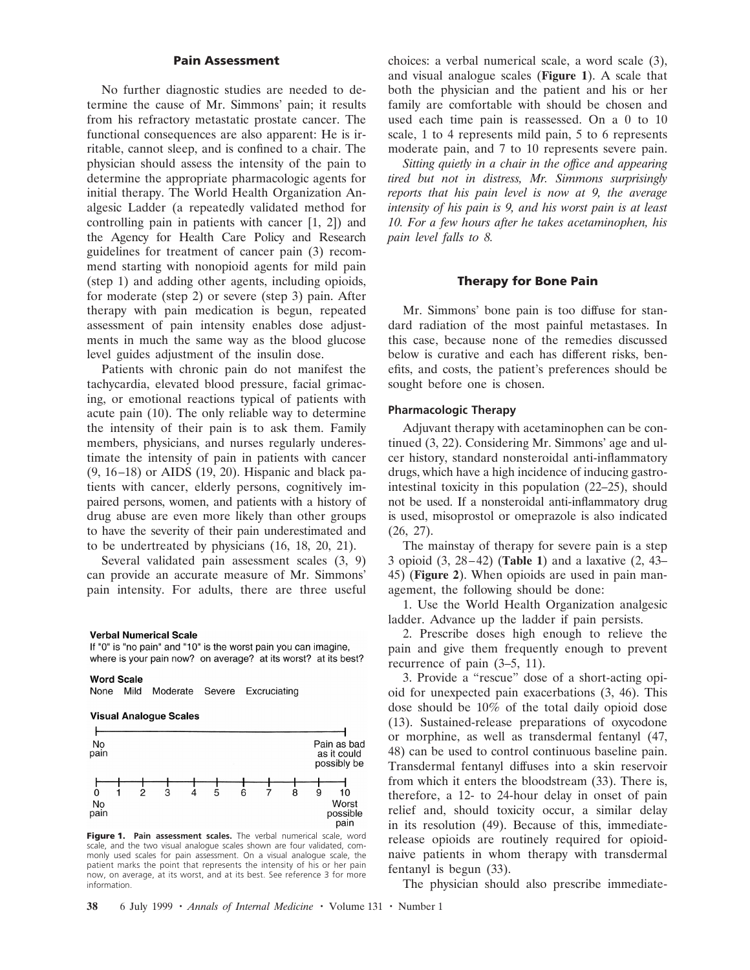## **Pain Assessment**

No further diagnostic studies are needed to determine the cause of Mr. Simmons' pain; it results from his refractory metastatic prostate cancer. The functional consequences are also apparent: He is irritable, cannot sleep, and is confined to a chair. The physician should assess the intensity of the pain to determine the appropriate pharmacologic agents for initial therapy. The World Health Organization Analgesic Ladder (a repeatedly validated method for controlling pain in patients with cancer [1, 2]) and the Agency for Health Care Policy and Research guidelines for treatment of cancer pain (3) recommend starting with nonopioid agents for mild pain (step 1) and adding other agents, including opioids, for moderate (step 2) or severe (step 3) pain. After therapy with pain medication is begun, repeated assessment of pain intensity enables dose adjustments in much the same way as the blood glucose level guides adjustment of the insulin dose.

Patients with chronic pain do not manifest the tachycardia, elevated blood pressure, facial grimacing, or emotional reactions typical of patients with acute pain (10). The only reliable way to determine the intensity of their pain is to ask them. Family members, physicians, and nurses regularly underestimate the intensity of pain in patients with cancer (9, 16–18) or AIDS (19, 20). Hispanic and black patients with cancer, elderly persons, cognitively impaired persons, women, and patients with a history of drug abuse are even more likely than other groups to have the severity of their pain underestimated and to be undertreated by physicians (16, 18, 20, 21).

Several validated pain assessment scales (3, 9) can provide an accurate measure of Mr. Simmons' pain intensity. For adults, there are three useful

#### **Verbal Numerical Scale**

If "0" is "no pain" and "10" is the worst pain you can imagine, where is your pain now? on average? at its worst? at its best?

#### **Word Scale**

None Mild Moderate Severe Excruciating

#### **Visual Analogue Scales**



**Figure 1. Pain assessment scales.** The verbal numerical scale, word scale, and the two visual analogue scales shown are four validated, commonly used scales for pain assessment. On a visual analogue scale, the patient marks the point that represents the intensity of his or her pain now, on average, at its worst, and at its best. See reference 3 for more information.

choices: a verbal numerical scale, a word scale (3), and visual analogue scales (**Figure 1**). A scale that both the physician and the patient and his or her family are comfortable with should be chosen and used each time pain is reassessed. On a 0 to 10 scale, 1 to 4 represents mild pain, 5 to 6 represents moderate pain, and 7 to 10 represents severe pain.

*Sitting quietly in a chair in the office and appearing tired but not in distress, Mr. Simmons surprisingly reports that his pain level is now at 9, the average intensity of his pain is 9, and his worst pain is at least 10. For a few hours after he takes acetaminophen, his pain level falls to 8.*

## **Therapy for Bone Pain**

Mr. Simmons' bone pain is too diffuse for standard radiation of the most painful metastases. In this case, because none of the remedies discussed below is curative and each has different risks, benefits, and costs, the patient's preferences should be sought before one is chosen.

## **Pharmacologic Therapy**

Adjuvant therapy with acetaminophen can be continued (3, 22). Considering Mr. Simmons' age and ulcer history, standard nonsteroidal anti-inflammatory drugs, which have a high incidence of inducing gastrointestinal toxicity in this population (22–25), should not be used. If a nonsteroidal anti-inflammatory drug is used, misoprostol or omeprazole is also indicated (26, 27).

The mainstay of therapy for severe pain is a step 3 opioid (3, 28–42) (**Table 1**) and a laxative (2, 43– 45) (**Figure 2**). When opioids are used in pain management, the following should be done:

1. Use the World Health Organization analgesic ladder. Advance up the ladder if pain persists.

2. Prescribe doses high enough to relieve the pain and give them frequently enough to prevent recurrence of pain (3–5, 11).

3. Provide a "rescue" dose of a short-acting opioid for unexpected pain exacerbations (3, 46). This dose should be 10% of the total daily opioid dose (13). Sustained-release preparations of oxycodone or morphine, as well as transdermal fentanyl (47, 48) can be used to control continuous baseline pain. Transdermal fentanyl diffuses into a skin reservoir from which it enters the bloodstream (33). There is, therefore, a 12- to 24-hour delay in onset of pain relief and, should toxicity occur, a similar delay in its resolution (49). Because of this, immediaterelease opioids are routinely required for opioidnaive patients in whom therapy with transdermal fentanyl is begun (33).

The physician should also prescribe immediate-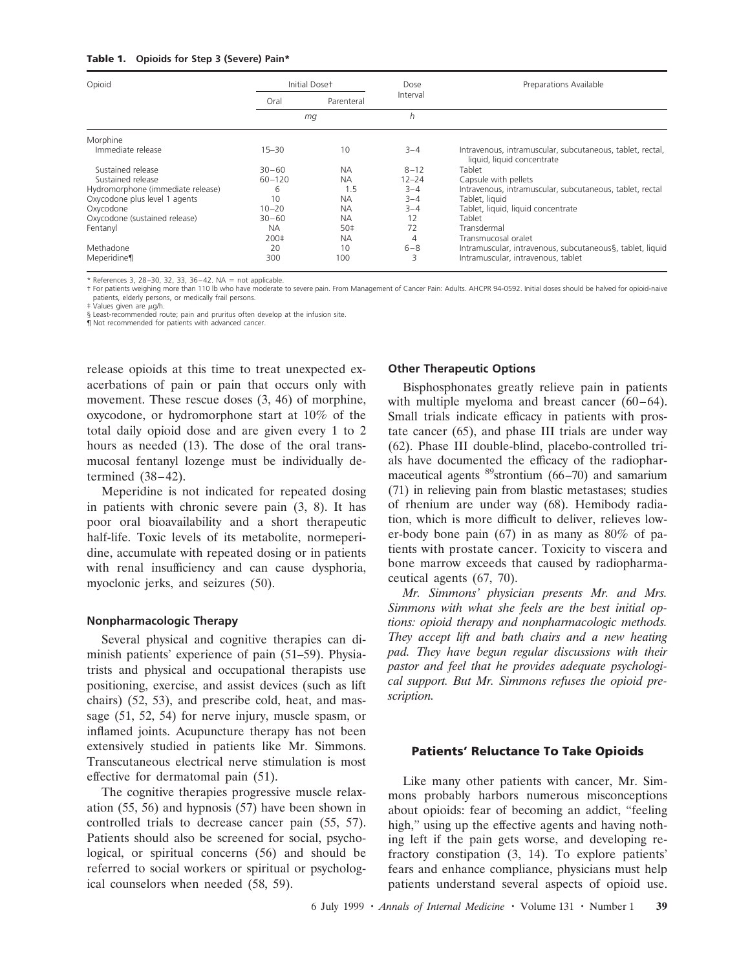#### **Table 1. Opioids for Step 3 (Severe) Pain\***

| Opioid                            |            | Initial Doset   |                | Preparations Available                                                                  |
|-----------------------------------|------------|-----------------|----------------|-----------------------------------------------------------------------------------------|
|                                   | Oral       | Parenteral      | Interval       |                                                                                         |
|                                   |            | mq              |                |                                                                                         |
| Morphine                          |            |                 |                |                                                                                         |
| Immediate release                 | $15 - 30$  | 10              | $3 - 4$        | Intravenous, intramuscular, subcutaneous, tablet, rectal,<br>liquid, liquid concentrate |
| Sustained release                 | $30 - 60$  | <b>NA</b>       | $8 - 12$       | Tablet                                                                                  |
| Sustained release                 | $60 - 120$ | <b>NA</b>       | $12 - 24$      | Capsule with pellets                                                                    |
| Hydromorphone (immediate release) | 6          | 1.5             | $3 - 4$        | Intravenous, intramuscular, subcutaneous, tablet, rectal                                |
| Oxycodone plus level 1 agents     | 10         | <b>NA</b>       | $3 - 4$        | Tablet, liquid                                                                          |
| Oxycodone                         | $10 - 20$  | NА              | $3 - 4$        | Tablet, liquid, liquid concentrate                                                      |
| Oxycodone (sustained release)     | $30 - 60$  | NА              | 12             | Tablet                                                                                  |
| Fentanyl                          | NA.        | 50 <sup>‡</sup> | 72             | Transdermal                                                                             |
|                                   | 200‡       | <b>NA</b>       | $\overline{4}$ | Transmucosal oralet                                                                     |
| Methadone                         | 20         | 10              | $6 - 8$        | Intramuscular, intravenous, subcutaneous§, tablet, liquid                               |
| Meperidine¶                       | 300        | 100             | 3              | Intramuscular, intravenous, tablet                                                      |

\* References 3, 28–30, 32, 33, 36–42. NA = not applicable

† For patients weighing more than 110 lb who have moderate to severe pain. From Management of Cancer Pain: Adults. AHCPR 94-0592. Initial doses should be halved for opioid-naive patients, elderly persons, or medically frail persons.

 $\dagger$  Values given are  $\mu$ g/h.

§ Least-recommended route; pain and pruritus often develop at the infusion site.

¶ Not recommended for patients with advanced cancer.

release opioids at this time to treat unexpected exacerbations of pain or pain that occurs only with movement. These rescue doses  $(3, 46)$  of morphine, oxycodone, or hydromorphone start at 10% of the total daily opioid dose and are given every 1 to 2 hours as needed (13). The dose of the oral transmucosal fentanyl lozenge must be individually determined (38–42).

Meperidine is not indicated for repeated dosing in patients with chronic severe pain (3, 8). It has poor oral bioavailability and a short therapeutic half-life. Toxic levels of its metabolite, normeperidine, accumulate with repeated dosing or in patients with renal insufficiency and can cause dysphoria, myoclonic jerks, and seizures (50).

#### **Nonpharmacologic Therapy**

Several physical and cognitive therapies can diminish patients' experience of pain (51–59). Physiatrists and physical and occupational therapists use positioning, exercise, and assist devices (such as lift chairs) (52, 53), and prescribe cold, heat, and massage (51, 52, 54) for nerve injury, muscle spasm, or inflamed joints. Acupuncture therapy has not been extensively studied in patients like Mr. Simmons. Transcutaneous electrical nerve stimulation is most effective for dermatomal pain (51).

The cognitive therapies progressive muscle relaxation (55, 56) and hypnosis (57) have been shown in controlled trials to decrease cancer pain (55, 57). Patients should also be screened for social, psychological, or spiritual concerns (56) and should be referred to social workers or spiritual or psychological counselors when needed (58, 59).

#### **Other Therapeutic Options**

Bisphosphonates greatly relieve pain in patients with multiple myeloma and breast cancer (60–64). Small trials indicate efficacy in patients with prostate cancer (65), and phase III trials are under way (62). Phase III double-blind, placebo-controlled trials have documented the efficacy of the radiopharmaceutical agents  $^{89}$ strontium (66–70) and samarium (71) in relieving pain from blastic metastases; studies of rhenium are under way (68). Hemibody radiation, which is more difficult to deliver, relieves lower-body bone pain (67) in as many as 80% of patients with prostate cancer. Toxicity to viscera and bone marrow exceeds that caused by radiopharmaceutical agents (67, 70).

*Mr. Simmons' physician presents Mr. and Mrs. Simmons with what she feels are the best initial options: opioid therapy and nonpharmacologic methods. They accept lift and bath chairs and a new heating pad. They have begun regular discussions with their pastor and feel that he provides adequate psychological support. But Mr. Simmons refuses the opioid prescription.*

#### **Patients' Reluctance To Take Opioids**

Like many other patients with cancer, Mr. Simmons probably harbors numerous misconceptions about opioids: fear of becoming an addict, "feeling high," using up the effective agents and having nothing left if the pain gets worse, and developing refractory constipation (3, 14). To explore patients' fears and enhance compliance, physicians must help patients understand several aspects of opioid use.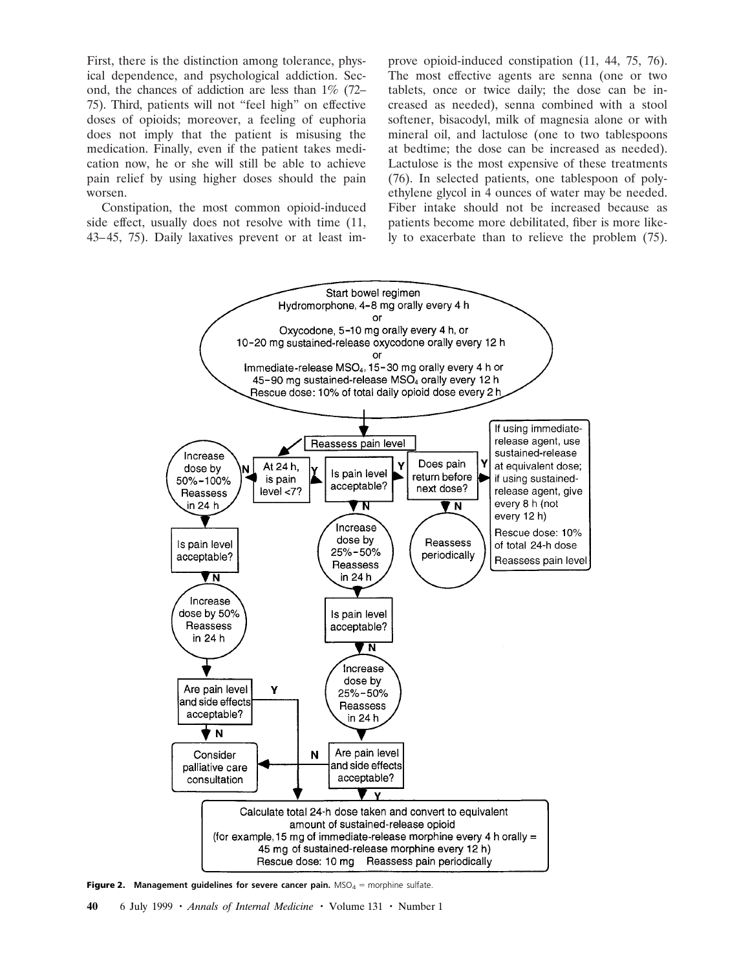First, there is the distinction among tolerance, physical dependence, and psychological addiction. Second, the chances of addiction are less than  $1\%$  (72– 75). Third, patients will not "feel high" on effective doses of opioids; moreover, a feeling of euphoria does not imply that the patient is misusing the medication. Finally, even if the patient takes medication now, he or she will still be able to achieve pain relief by using higher doses should the pain worsen.

Constipation, the most common opioid-induced side effect, usually does not resolve with time (11, 43–45, 75). Daily laxatives prevent or at least improve opioid-induced constipation (11, 44, 75, 76). The most effective agents are senna (one or two tablets, once or twice daily; the dose can be increased as needed), senna combined with a stool softener, bisacodyl, milk of magnesia alone or with mineral oil, and lactulose (one to two tablespoons at bedtime; the dose can be increased as needed). Lactulose is the most expensive of these treatments (76). In selected patients, one tablespoon of polyethylene glycol in 4 ounces of water may be needed. Fiber intake should not be increased because as patients become more debilitated, fiber is more likely to exacerbate than to relieve the problem (75).



**Figure 2.** Management guidelines for severe cancer pain.  $MSO<sub>4</sub> = morphine sulfate.$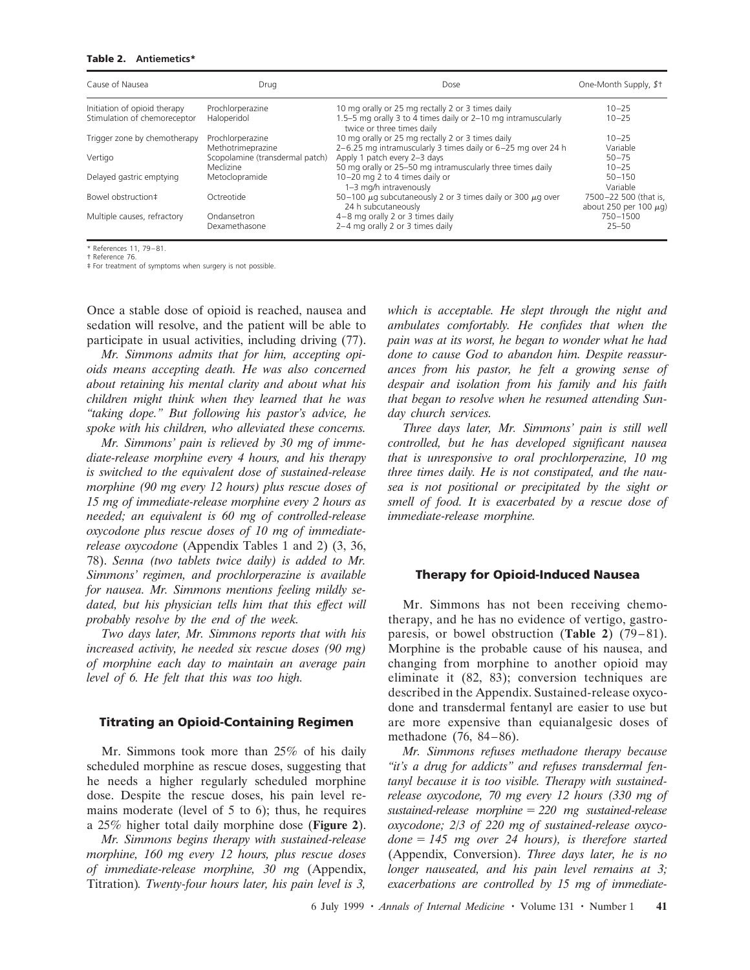#### **Table 2. Antiemetics\***

| Cause of Nausea              | Drug                            | Dose                                                                                        | One-Month Supply, \$t                               |
|------------------------------|---------------------------------|---------------------------------------------------------------------------------------------|-----------------------------------------------------|
| Initiation of opioid therapy | Prochlorperazine                | 10 mg orally or 25 mg rectally 2 or 3 times daily                                           | $10 - 25$                                           |
| Stimulation of chemoreceptor | Haloperidol                     | 1.5-5 mg orally 3 to 4 times daily or 2-10 mg intramuscularly<br>twice or three times daily | $10 - 25$                                           |
| Trigger zone by chemotherapy | Prochlorperazine                | 10 mg orally or 25 mg rectally 2 or 3 times daily                                           | $10 - 25$                                           |
|                              | Methotrimeprazine               | 2-6.25 mg intramuscularly 3 times daily or 6-25 mg over 24 h                                | Variable                                            |
| Vertigo                      | Scopolamine (transdermal patch) | Apply 1 patch every 2-3 days                                                                | $50 - 75$                                           |
|                              | Meclizine                       | 50 mg orally or 25-50 mg intramuscularly three times daily                                  | $10 - 25$                                           |
| Delayed gastric emptying     | Metoclopramide                  | 10-20 mg 2 to 4 times daily or                                                              | $50 - 150$                                          |
|                              |                                 | 1-3 mg/h intravenously                                                                      | Variable                                            |
| Bowel obstruction#           | Octreotide                      | 50-100 $\mu$ g subcutaneously 2 or 3 times daily or 300 $\mu$ g over<br>24 h subcutaneously | 7500-22 500 (that is.<br>about 250 per 100 $\mu$ g) |
| Multiple causes, refractory  | Ondansetron                     | 4-8 mg orally 2 or 3 times daily                                                            | $750 - 1500$                                        |
|                              | Dexamethasone                   | 2-4 mg orally 2 or 3 times daily                                                            | $25 - 50$                                           |

\* References 11, 79–81. † Reference 76.

‡ For treatment of symptoms when surgery is not possible.

Once a stable dose of opioid is reached, nausea and sedation will resolve, and the patient will be able to participate in usual activities, including driving (77).

*Mr. Simmons admits that for him, accepting opioids means accepting death. He was also concerned about retaining his mental clarity and about what his children might think when they learned that he was "taking dope." But following his pastor's advice, he spoke with his children, who alleviated these concerns.*

*Mr. Simmons' pain is relieved by 30 mg of immediate-release morphine every 4 hours, and his therapy is switched to the equivalent dose of sustained-release morphine (90 mg every 12 hours) plus rescue doses of 15 mg of immediate-release morphine every 2 hours as needed; an equivalent is 60 mg of controlled-release oxycodone plus rescue doses of 10 mg of immediaterelease oxycodone* (Appendix Tables 1 and 2) (3, 36, 78). *Senna (two tablets twice daily) is added to Mr. Simmons' regimen, and prochlorperazine is available for nausea. Mr. Simmons mentions feeling mildly sedated, but his physician tells him that this effect will probably resolve by the end of the week.*

*Two days later, Mr. Simmons reports that with his increased activity, he needed six rescue doses (90 mg) of morphine each day to maintain an average pain level of 6. He felt that this was too high.*

## **Titrating an Opioid-Containing Regimen**

Mr. Simmons took more than 25% of his daily scheduled morphine as rescue doses, suggesting that he needs a higher regularly scheduled morphine dose. Despite the rescue doses, his pain level remains moderate (level of 5 to 6); thus, he requires a 25% higher total daily morphine dose (**Figure 2**).

*Mr. Simmons begins therapy with sustained-release morphine, 160 mg every 12 hours, plus rescue doses of immediate-release morphine, 30 mg* (Appendix, Titration)*. Twenty-four hours later, his pain level is 3,*

*which is acceptable. He slept through the night and ambulates comfortably. He confides that when the pain was at its worst, he began to wonder what he had done to cause God to abandon him. Despite reassurances from his pastor, he felt a growing sense of despair and isolation from his family and his faith that began to resolve when he resumed attending Sunday church services.*

*Three days later, Mr. Simmons' pain is still well controlled, but he has developed significant nausea that is unresponsive to oral prochlorperazine, 10 mg three times daily. He is not constipated, and the nausea is not positional or precipitated by the sight or smell of food. It is exacerbated by a rescue dose of immediate-release morphine.*

#### **Therapy for Opioid-Induced Nausea**

Mr. Simmons has not been receiving chemotherapy, and he has no evidence of vertigo, gastroparesis, or bowel obstruction (**Table 2**) (79–81). Morphine is the probable cause of his nausea, and changing from morphine to another opioid may eliminate it (82, 83); conversion techniques are described in the Appendix. Sustained-release oxycodone and transdermal fentanyl are easier to use but are more expensive than equianalgesic doses of methadone (76, 84–86).

*Mr. Simmons refuses methadone therapy because "it's a drug for addicts" and refuses transdermal fentanyl because it is too visible. Therapy with sustainedrelease oxycodone, 70 mg every 12 hours (330 mg of* sustained-release morphine = 220 mg sustained-release *oxycodone; 2/3 of 220 mg of sustained-release oxycodone* 5 *145 mg over 24 hours), is therefore started* (Appendix, Conversion). *Three days later, he is no longer nauseated, and his pain level remains at 3; exacerbations are controlled by 15 mg of immediate-*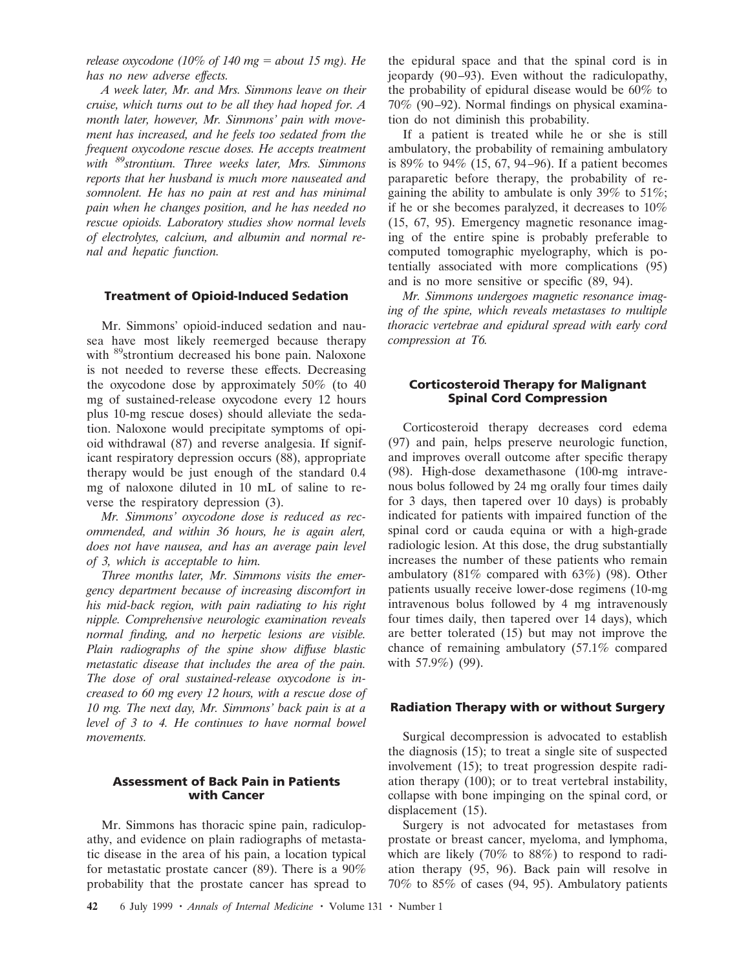*release oxycodone (10% of 140 mg = about 15 mg). He has no new adverse effects.*

*A week later, Mr. and Mrs. Simmons leave on their cruise, which turns out to be all they had hoped for. A month later, however, Mr. Simmons' pain with movement has increased, and he feels too sedated from the frequent oxycodone rescue doses. He accepts treatment with 89strontium. Three weeks later, Mrs. Simmons reports that her husband is much more nauseated and somnolent. He has no pain at rest and has minimal pain when he changes position, and he has needed no rescue opioids. Laboratory studies show normal levels of electrolytes, calcium, and albumin and normal renal and hepatic function.*

## **Treatment of Opioid-Induced Sedation**

Mr. Simmons' opioid-induced sedation and nausea have most likely reemerged because therapy with <sup>89</sup>strontium decreased his bone pain. Naloxone is not needed to reverse these effects. Decreasing the oxycodone dose by approximately 50% (to 40 mg of sustained-release oxycodone every 12 hours plus 10-mg rescue doses) should alleviate the sedation. Naloxone would precipitate symptoms of opioid withdrawal (87) and reverse analgesia. If significant respiratory depression occurs (88), appropriate therapy would be just enough of the standard 0.4 mg of naloxone diluted in 10 mL of saline to reverse the respiratory depression (3).

*Mr. Simmons' oxycodone dose is reduced as recommended, and within 36 hours, he is again alert, does not have nausea, and has an average pain level of 3, which is acceptable to him.*

*Three months later, Mr. Simmons visits the emergency department because of increasing discomfort in his mid-back region, with pain radiating to his right nipple. Comprehensive neurologic examination reveals normal finding, and no herpetic lesions are visible. Plain radiographs of the spine show diffuse blastic metastatic disease that includes the area of the pain. The dose of oral sustained-release oxycodone is increased to 60 mg every 12 hours, with a rescue dose of 10 mg. The next day, Mr. Simmons' back pain is at a level of 3 to 4. He continues to have normal bowel movements.*

# **Assessment of Back Pain in Patients with Cancer**

Mr. Simmons has thoracic spine pain, radiculopathy, and evidence on plain radiographs of metastatic disease in the area of his pain, a location typical for metastatic prostate cancer (89). There is a 90% probability that the prostate cancer has spread to the epidural space and that the spinal cord is in jeopardy (90–93). Even without the radiculopathy, the probability of epidural disease would be 60% to 70% (90–92). Normal findings on physical examination do not diminish this probability.

If a patient is treated while he or she is still ambulatory, the probability of remaining ambulatory is 89% to 94% (15, 67, 94–96). If a patient becomes paraparetic before therapy, the probability of regaining the ability to ambulate is only 39% to 51%; if he or she becomes paralyzed, it decreases to 10% (15, 67, 95). Emergency magnetic resonance imaging of the entire spine is probably preferable to computed tomographic myelography, which is potentially associated with more complications (95) and is no more sensitive or specific (89, 94).

*Mr. Simmons undergoes magnetic resonance imaging of the spine, which reveals metastases to multiple thoracic vertebrae and epidural spread with early cord compression at T6.*

# **Corticosteroid Therapy for Malignant Spinal Cord Compression**

Corticosteroid therapy decreases cord edema (97) and pain, helps preserve neurologic function, and improves overall outcome after specific therapy (98). High-dose dexamethasone (100-mg intravenous bolus followed by 24 mg orally four times daily for 3 days, then tapered over 10 days) is probably indicated for patients with impaired function of the spinal cord or cauda equina or with a high-grade radiologic lesion. At this dose, the drug substantially increases the number of these patients who remain ambulatory (81% compared with 63%) (98). Other patients usually receive lower-dose regimens (10-mg intravenous bolus followed by 4 mg intravenously four times daily, then tapered over 14 days), which are better tolerated (15) but may not improve the chance of remaining ambulatory (57.1% compared with 57.9%) (99).

## **Radiation Therapy with or without Surgery**

Surgical decompression is advocated to establish the diagnosis (15); to treat a single site of suspected involvement (15); to treat progression despite radiation therapy (100); or to treat vertebral instability, collapse with bone impinging on the spinal cord, or displacement (15).

Surgery is not advocated for metastases from prostate or breast cancer, myeloma, and lymphoma, which are likely (70% to 88%) to respond to radiation therapy (95, 96). Back pain will resolve in 70% to 85% of cases (94, 95). Ambulatory patients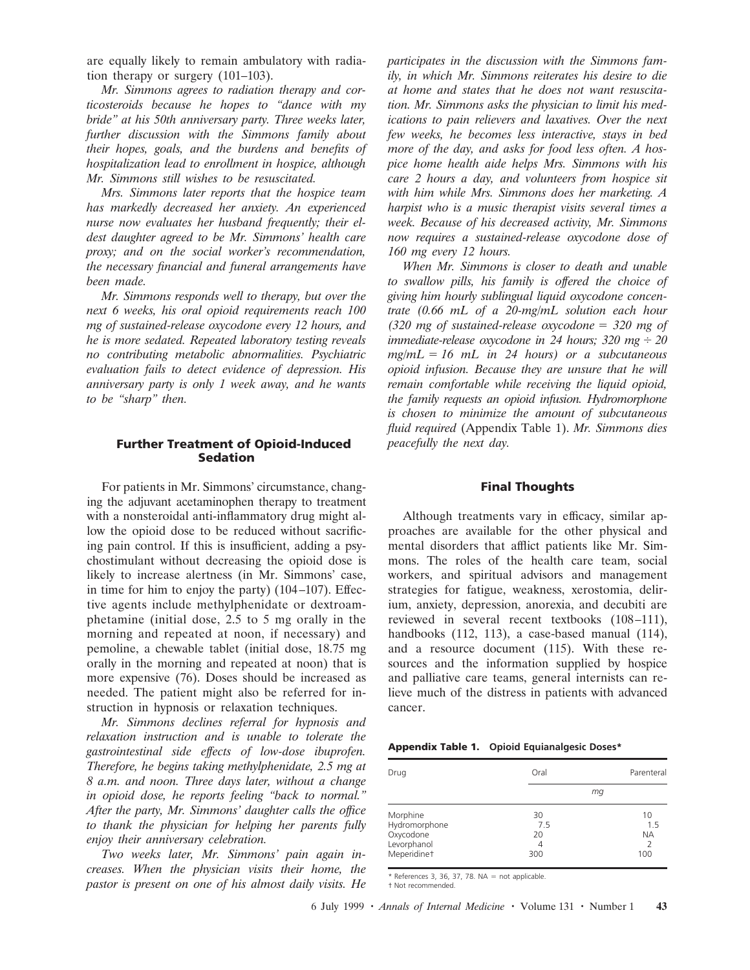are equally likely to remain ambulatory with radiation therapy or surgery (101–103).

*Mr. Simmons agrees to radiation therapy and corticosteroids because he hopes to "dance with my bride" at his 50th anniversary party. Three weeks later, further discussion with the Simmons family about their hopes, goals, and the burdens and benefits of hospitalization lead to enrollment in hospice, although Mr. Simmons still wishes to be resuscitated.*

*Mrs. Simmons later reports that the hospice team has markedly decreased her anxiety. An experienced nurse now evaluates her husband frequently; their eldest daughter agreed to be Mr. Simmons' health care proxy; and on the social worker's recommendation, the necessary financial and funeral arrangements have been made.*

*Mr. Simmons responds well to therapy, but over the next 6 weeks, his oral opioid requirements reach 100 mg of sustained-release oxycodone every 12 hours, and he is more sedated. Repeated laboratory testing reveals no contributing metabolic abnormalities. Psychiatric evaluation fails to detect evidence of depression. His anniversary party is only 1 week away, and he wants to be "sharp" then.*

# **Further Treatment of Opioid-Induced Sedation**

For patients in Mr. Simmons' circumstance, changing the adjuvant acetaminophen therapy to treatment with a nonsteroidal anti-inflammatory drug might allow the opioid dose to be reduced without sacrificing pain control. If this is insufficient, adding a psychostimulant without decreasing the opioid dose is likely to increase alertness (in Mr. Simmons' case, in time for him to enjoy the party) (104–107). Effective agents include methylphenidate or dextroamphetamine (initial dose, 2.5 to 5 mg orally in the morning and repeated at noon, if necessary) and pemoline, a chewable tablet (initial dose, 18.75 mg orally in the morning and repeated at noon) that is more expensive (76). Doses should be increased as needed. The patient might also be referred for instruction in hypnosis or relaxation techniques.

*Mr. Simmons declines referral for hypnosis and relaxation instruction and is unable to tolerate the gastrointestinal side effects of low-dose ibuprofen. Therefore, he begins taking methylphenidate, 2.5 mg at 8 a.m. and noon. Three days later, without a change in opioid dose, he reports feeling "back to normal." After the party, Mr. Simmons' daughter calls the office to thank the physician for helping her parents fully enjoy their anniversary celebration.*

*Two weeks later, Mr. Simmons' pain again increases. When the physician visits their home, the pastor is present on one of his almost daily visits. He* *participates in the discussion with the Simmons family, in which Mr. Simmons reiterates his desire to die at home and states that he does not want resuscitation. Mr. Simmons asks the physician to limit his medications to pain relievers and laxatives. Over the next few weeks, he becomes less interactive, stays in bed more of the day, and asks for food less often. A hospice home health aide helps Mrs. Simmons with his care 2 hours a day, and volunteers from hospice sit with him while Mrs. Simmons does her marketing. A harpist who is a music therapist visits several times a week. Because of his decreased activity, Mr. Simmons now requires a sustained-release oxycodone dose of 160 mg every 12 hours.*

*When Mr. Simmons is closer to death and unable to swallow pills, his family is offered the choice of giving him hourly sublingual liquid oxycodone concentrate (0.66 mL of a 20-mg/mL solution each hour*  $(320 \text{ mg of sustained-release oxycodone} = 320 \text{ mg of}$ *immediate-release oxycodone in 24 hours; 320 mg*  $\div$  *20*  $mghmL = 16$   $mL$  *in 24 hours)* or a subcutaneous *opioid infusion. Because they are unsure that he will remain comfortable while receiving the liquid opioid, the family requests an opioid infusion. Hydromorphone is chosen to minimize the amount of subcutaneous fluid required* (Appendix Table 1). *Mr. Simmons dies peacefully the next day.*

# **Final Thoughts**

Although treatments vary in efficacy, similar approaches are available for the other physical and mental disorders that afflict patients like Mr. Simmons. The roles of the health care team, social workers, and spiritual advisors and management strategies for fatigue, weakness, xerostomia, delirium, anxiety, depression, anorexia, and decubiti are reviewed in several recent textbooks (108–111), handbooks (112, 113), a case-based manual (114), and a resource document (115). With these resources and the information supplied by hospice and palliative care teams, general internists can relieve much of the distress in patients with advanced cancer.

| <b>Appendix Table 1.</b> |  | <b>Opioid Equianalgesic Doses*</b> |  |
|--------------------------|--|------------------------------------|--|
|--------------------------|--|------------------------------------|--|

| Drug                                                                 | Oral                        | Parenteral                         |
|----------------------------------------------------------------------|-----------------------------|------------------------------------|
|                                                                      |                             | mq                                 |
| Morphine<br>Hydromorphone<br>Oxycodone<br>Levorphanol<br>Meperidinet | 30<br>7.5<br>20<br>4<br>300 | 10<br>1.5<br><b>NA</b><br>2<br>100 |

\* References 3, 36, 37, 78.  $NA = not$  applicable.

† Not recommended.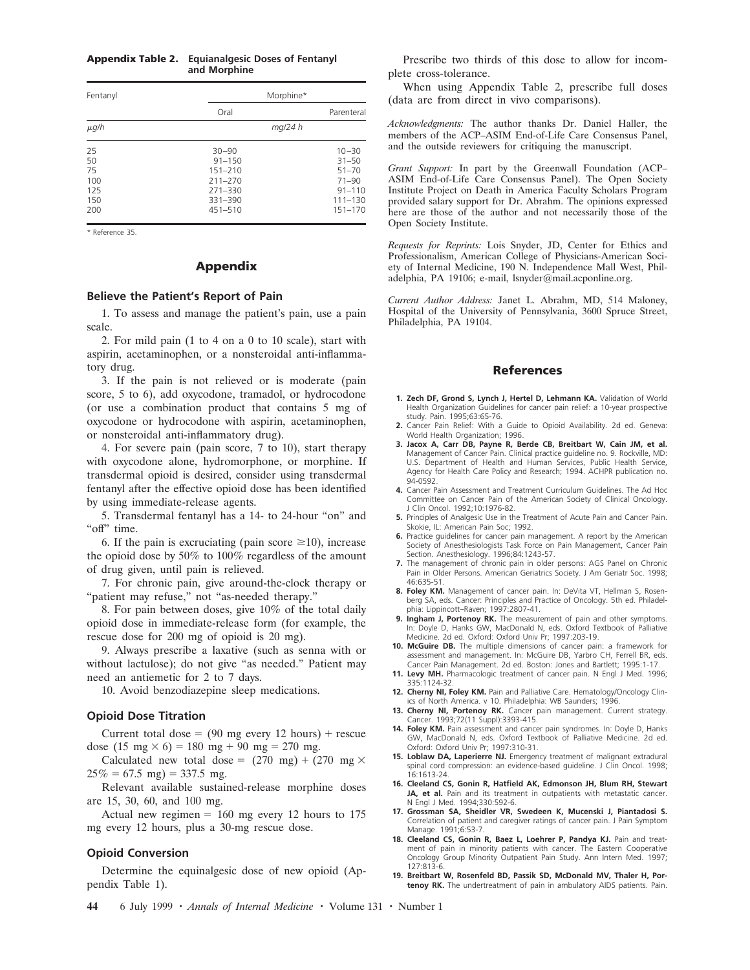**Appendix Table 2. Equianalgesic Doses of Fentanyl and Morphine**

| Fentanyl                                   | Morphine*                                                                                      |                                                                                              |  |
|--------------------------------------------|------------------------------------------------------------------------------------------------|----------------------------------------------------------------------------------------------|--|
|                                            | Oral                                                                                           | Parenteral                                                                                   |  |
| $\mu q/h$                                  |                                                                                                | mq/24 h                                                                                      |  |
| 25<br>50<br>75<br>100<br>125<br>150<br>200 | $30 - 90$<br>$91 - 150$<br>$151 - 210$<br>$211 - 270$<br>$271 - 330$<br>331-390<br>$451 - 510$ | $10 - 30$<br>$31 - 50$<br>$51 - 70$<br>$71 - 90$<br>$91 - 110$<br>$111 - 130$<br>$151 - 170$ |  |

\* Reference 35.

## **Appendix**

#### **Believe the Patient's Report of Pain**

1. To assess and manage the patient's pain, use a pain scale.

2. For mild pain (1 to 4 on a 0 to 10 scale), start with aspirin, acetaminophen, or a nonsteroidal anti-inflammatory drug.

3. If the pain is not relieved or is moderate (pain score, 5 to 6), add oxycodone, tramadol, or hydrocodone (or use a combination product that contains 5 mg of oxycodone or hydrocodone with aspirin, acetaminophen, or nonsteroidal anti-inflammatory drug).

4. For severe pain (pain score, 7 to 10), start therapy with oxycodone alone, hydromorphone, or morphine. If transdermal opioid is desired, consider using transdermal fentanyl after the effective opioid dose has been identified by using immediate-release agents.

5. Transdermal fentanyl has a 14- to 24-hour "on" and "off" time.

6. If the pain is excruciating (pain score  $\geq$ 10), increase the opioid dose by 50% to 100% regardless of the amount of drug given, until pain is relieved.

7. For chronic pain, give around-the-clock therapy or "patient may refuse," not "as-needed therapy."

8. For pain between doses, give 10% of the total daily opioid dose in immediate-release form (for example, the rescue dose for 200 mg of opioid is 20 mg).

9. Always prescribe a laxative (such as senna with or without lactulose); do not give "as needed." Patient may need an antiemetic for 2 to 7 days.

10. Avoid benzodiazepine sleep medications.

#### **Opioid Dose Titration**

Current total dose =  $(90 \text{ mg every } 12 \text{ hours})$  + rescue dose  $(15 \text{ mg} \times 6) = 180 \text{ mg} + 90 \text{ mg} = 270 \text{ mg}.$ 

Calculated new total dose =  $(270 \text{ mg}) + (270 \text{ mg} \times$  $25\% = 67.5$  mg) = 337.5 mg.

Relevant available sustained-release morphine doses are 15, 30, 60, and 100 mg.

Actual new regimen  $= 160$  mg every 12 hours to 175 mg every 12 hours, plus a 30-mg rescue dose.

#### **Opioid Conversion**

Determine the equinalgesic dose of new opioid (Appendix Table 1).

Prescribe two thirds of this dose to allow for incomplete cross-tolerance.

When using Appendix Table 2, prescribe full doses (data are from direct in vivo comparisons).

*Acknowledgments:* The author thanks Dr. Daniel Haller, the members of the ACP–ASIM End-of-Life Care Consensus Panel, and the outside reviewers for critiquing the manuscript.

*Grant Support:* In part by the Greenwall Foundation (ACP– ASIM End-of-Life Care Consensus Panel). The Open Society Institute Project on Death in America Faculty Scholars Program provided salary support for Dr. Abrahm. The opinions expressed here are those of the author and not necessarily those of the Open Society Institute.

*Requests for Reprints:* Lois Snyder, JD, Center for Ethics and Professionalism, American College of Physicians-American Society of Internal Medicine, 190 N. Independence Mall West, Philadelphia, PA 19106; e-mail, lsnyder@mail.acponline.org.

*Current Author Address:* Janet L. Abrahm, MD, 514 Maloney, Hospital of the University of Pennsylvania, 3600 Spruce Street, Philadelphia, PA 19104.

#### **References**

- **1. Zech DF, Grond S, Lynch J, Hertel D, Lehmann KA.** Validation of World Health Organization Guidelines for cancer pain relief: a 10-year prospective study. Pain. 1995;63:65-76.
- **2.** Cancer Pain Relief: With a Guide to Opioid Availability. 2d ed. Geneva: World Health Organization: 1996.
- **3. Jacox A, Carr DB, Payne R, Berde CB, Breitbart W, Cain JM, et al.** Management of Cancer Pain. Clinical practice guideline no. 9. Rockville, MD: U.S. Department of Health and Human Services, Public Health Service, Agency for Health Care Policy and Research; 1994. ACHPR publication no.  $94 - 0592$
- **4.** Cancer Pain Assessment and Treatment Curriculum Guidelines. The Ad Hoc Committee on Cancer Pain of the American Society of Clinical Oncology. J Clin Oncol. 1992;10:1976-82.
- **5.** Principles of Analgesic Use in the Treatment of Acute Pain and Cancer Pain. Skokie, IL: American Pain Soc; 1992.
- **6.** Practice guidelines for cancer pain management. A report by the American Society of Anesthesiologists Task Force on Pain Management, Cancer Pain Section. Anesthesiology. 1996;84:1243-57.
- **7.** The management of chronic pain in older persons: AGS Panel on Chronic Pain in Older Persons. American Geriatrics Society. J Am Geriatr Soc. 1998; 46:635-51.
- **8. Foley KM.** Management of cancer pain. In: DeVita VT, Hellman S, Rosenberg SA, eds. Cancer: Principles and Practice of Oncology. 5th ed. Philadelphia: Lippincott–Raven; 1997:2807-41.
- **9. Ingham J, Portenoy RK.** The measurement of pain and other symptoms. In: Doyle D, Hanks GW, MacDonald N, eds. Oxford Textbook of Palliative Medicine. 2d ed. Oxford: Oxford Univ Pr; 1997:203-19.
- **10. McGuire DB.** The multiple dimensions of cancer pain: a framework for assessment and management. In: McGuire DB, Yarbro CH, Ferrell BR, eds. Cancer Pain Management. 2d ed. Boston: Jones and Bartlett; 1995:1-17.
- **11. Levy MH.** Pharmacologic treatment of cancer pain. N Engl J Med. 1996; 335:1124-32.
- 12. Cherny NI, Foley KM. Pain and Palliative Care. Hematology/Oncology Clinics of North America. v 10. Philadelphia: WB Saunders; 1996.
- 13. Cherny NI, Portenoy RK. Cancer pain management. Current strategy. Cancer. 1993;72(11 Suppl):3393-415.
- 14. Foley KM. Pain assessment and cancer pain syndromes. In: Doyle D, Hanks GW, MacDonald N, eds. Oxford Textbook of Palliative Medicine. 2d ed. Oxford: Oxford Univ Pr; 1997:310-31.
- 15. Loblaw DA, Laperierre NJ. Emergency treatment of malignant extradural spinal cord compression: an evidence-based guideline. J Clin Oncol. 1998; 16:1613-24.
- **16. Cleeland CS, Gonin R, Hatfield AK, Edmonson JH, Blum RH, Stewart** JA, et al. Pain and its treatment in outpatients with metastatic cancer. N Engl J Med. 1994;330:592-6.
- **17. Grossman SA, Sheidler VR, Swedeen K, Mucenski J, Piantadosi S.** Correlation of patient and caregiver ratings of cancer pain. J Pain Symptom Manage. 1991;6:53-7.
- **18. Cleeland CS, Gonin R, Baez L, Loehrer P, Pandya KJ.** Pain and treatment of pain in minority patients with cancer. The Eastern Cooperative Oncology Group Minority Outpatient Pain Study. Ann Intern Med. 1997; 127:813-6.
- **19. Breitbart W, Rosenfeld BD, Passik SD, McDonald MV, Thaler H, Portenoy RK.** The undertreatment of pain in ambulatory AIDS patients. Pain.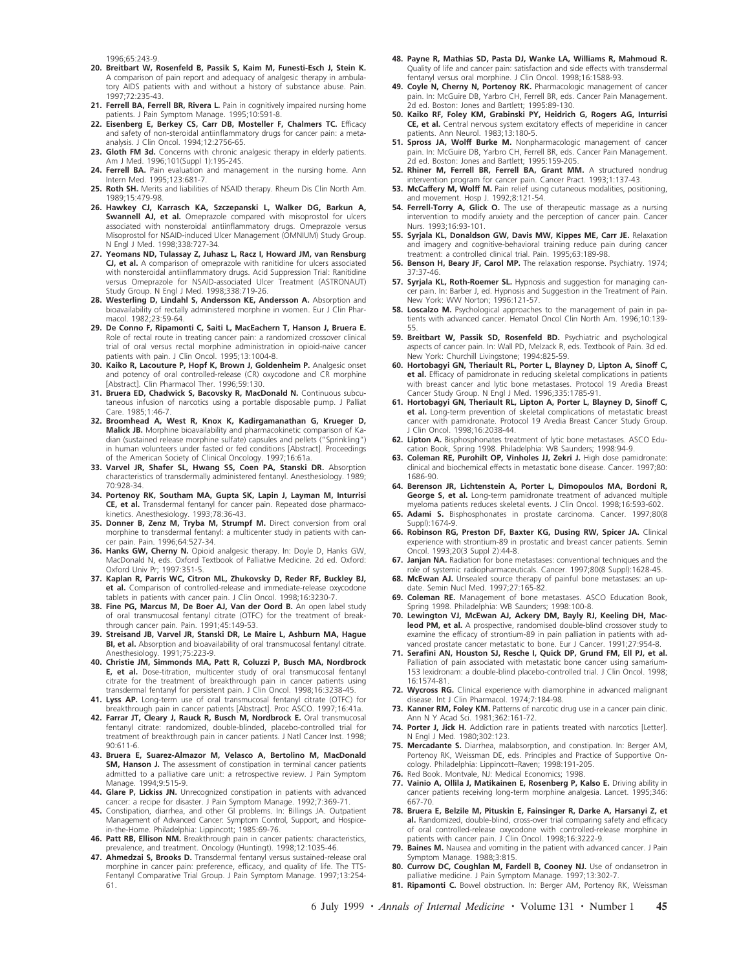1996;65:243-9.

- **20. Breitbart W, Rosenfeld B, Passik S, Kaim M, Funesti-Esch J, Stein K.** A comparison of pain report and adequacy of analgesic therapy in ambulatory AIDS patients with and without a history of substance abuse. Pain. 1997;72:235-43.
- 21. Ferrell BA, Ferrell BR, Rivera L. Pain in cognitively impaired nursing home patients. J Pain Symptom Manage. 1995;10:591-8.
- **22. Eisenberg E, Berkey CS, Carr DB, Mosteller F, Chalmers TC.** Efficacy and safety of non-steroidal antiinflammatory drugs for cancer pain: a metaanalysis. J Clin Oncol. 1994;12:2756-65.
- 23. Gloth FM 3d. Concerns with chronic analgesic therapy in elderly patients. Am J Med. 1996;101(Suppl 1):19S-24S.
- 24. Ferrell BA. Pain evaluation and management in the nursing home. Ann Intern Med. 1995;123:681-7.
- **25. Roth SH.** Merits and liabilities of NSAID therapy. Rheum Dis Clin North Am. 1989;15:479-98.
- **26. Hawkey CJ, Karrasch KA, Szczepanski L, Walker DG, Barkun A, Swannell AJ, et al.** Omeprazole compared with misoprostol for ulcers associated with nonsteroidal antiinflammatory drugs. Omeprazole versus Misoprostol for NSAID-induced Ulcer Management (OMNIUM) Study Group. N Engl J Med. 1998;338:727-34.
- **27. Yeomans ND, Tulassay Z, Juhasz L, Racz I, Howard JM, van Rensburg CJ, et al.** A comparison of omeprazole with ranitidine for ulcers associated with nonsteroidal antiinflammatory drugs. Acid Suppression Trial: Ranitidine versus Omeprazole for NSAID-associated Ulcer Treatment (ASTRONAUT) Study Group. N Engl J Med. 1998;338:719-26.
- **28. Westerling D, Lindahl S, Andersson KE, Andersson A.** Absorption and bioavailability of rectally administered morphine in women. Eur J Clin Pharmacol. 1982;23:59-64.
- **29. De Conno F, Ripamonti C, Saiti L, MacEachern T, Hanson J, Bruera E.** Role of rectal route in treating cancer pain: a randomized crossover clinical trial of oral versus rectal morphine administration in opioid-naive cancer patients with pain. J Clin Oncol. 1995;13:1004-8.
- **30. Kaiko R, Lacouture P, Hopf K, Brown J, Goldenheim P.** Analgesic onset and potency of oral controlled-release (CR) oxycodone and CR morphine [Abstract]. Clin Pharmacol Ther. 1996;59:130.
- **31. Bruera ED, Chadwick S, Bacovsky R, MacDonald N.** Continuous subcutaneous infusion of narcotics using a portable disposable pump. J Palliat Care. 1985;1:46-7.
- **32. Broomhead A, West R, Knox K, Kadirgamanathan G, Krueger D, Malick JB.** Morphine bioavailability and pharmacokinetic comparison of Kadian (sustained release morphine sulfate) capsules and pellets ("Sprinkling") in human volunteers under fasted or fed conditions [Abstract]. Proceedings of the American Society of Clinical Oncology. 1997;16:61a.
- **33. Varvel JR, Shafer SL, Hwang SS, Coen PA, Stanski DR.** Absorption characteristics of transdermally administered fentanyl. Anesthesiology. 1989; 70:928-34.
- **34. Portenoy RK, Southam MA, Gupta SK, Lapin J, Layman M, Inturrisi CE, et al.** Transdermal fentanyl for cancer pain. Repeated dose pharmacokinetics. Anesthesiology. 1993;78:36-43.
- **35. Donner B, Zenz M, Tryba M, Strumpf M.** Direct conversion from oral morphine to transdermal fentanyl: a multicenter study in patients with cancer pain. Pain. 1996;64:527-34.
- **36. Hanks GW, Cherny N.** Opioid analgesic therapy. In: Doyle D, Hanks GW, MacDonald N, eds. Oxford Textbook of Palliative Medicine. 2d ed. Oxford: Oxford Univ Pr; 1997:351-5.
- **37. Kaplan R, Parris WC, Citron ML, Zhukovsky D, Reder RF, Buckley BJ, et al.** Comparison of controlled-release and immediate-release oxycodone tablets in patients with cancer pain. J Clin Oncol. 1998;16:3230-7.
- **38. Fine PG, Marcus M, De Boer AJ, Van der Oord B.** An open label study of oral transmucosal fentanyl citrate (OTFC) for the treatment of breakthrough cancer pain. Pain. 1991;45:149-53.
- **39. Streisand JB, Varvel JR, Stanski DR, Le Maire L, Ashburn MA, Hague BI, et al.** Absorption and bioavailability of oral transmucosal fentanyl citrate. Anesthesiology. 1991;75:223-9.
- **40. Christie JM, Simmonds MA, Patt R, Coluzzi P, Busch MA, Nordbrock E, et al.** Dose-titration, multicenter study of oral transmucosal fentanyl citrate for the treatment of breakthrough pain in cancer patients using transdermal fentanyl for persistent pain. J Clin Oncol. 1998;16:3238-45.
- **41. Lyss AP.** Long-term use of oral transmucosal fentanyl citrate (OTFC) for breakthrough pain in cancer patients [Abstract]. Proc ASCO. 1997;16:41a.
- **42. Farrar JT, Cleary J, Rauck R, Busch M, Nordbrock E.** Oral transmucosal fentanyl citrate: randomized, double-blinded, placebo-controlled trial for treatment of breakthrough pain in cancer patients. J Natl Cancer Inst. 1998; 90:611-6.
- **43. Bruera E, Suarez-Almazor M, Velasco A, Bertolino M, MacDonald SM, Hanson J.** The assessment of constipation in terminal cancer patients admitted to a palliative care unit: a retrospective review. J Pain Symptom Manage. 1994;9:515-9.
- **44. Glare P, Lickiss JN.** Unrecognized constipation in patients with advanced
- cancer: a recipe for disaster. J Pain Symptom Manage. 1992;7:369-71. **45.** Constipation, diarrhea, and other GI problems. In: Billings JA. Outpatient Management of Advanced Cancer: Symptom Control, Support, and Hospicein-the-Home. Philadelphia: Lippincott; 1985:69-76.
- **46. Patt RB, Ellison NM.** Breakthrough pain in cancer patients: characteristics, prevalence, and treatment. Oncology (Huntingt). 1998;12:1035-46
- **47. Ahmedzai S, Brooks D.** Transdermal fentanyl versus sustained-release oral morphine in cancer pain: preference, efficacy, and quality of life. The TTS-Fentanyl Comparative Trial Group. J Pain Symptom Manage. 1997;13:254- 61.
- **48. Payne R, Mathias SD, Pasta DJ, Wanke LA, Williams R, Mahmoud R.** Quality of life and cancer pain: satisfaction and side effects with transdermal fentanyl versus oral morphine. J Clin Oncol. 1998;16:1588-93.
- **49. Coyle N, Cherny N, Portenoy RK.** Pharmacologic management of cancer pain. In: McGuire DB, Yarbro CH, Ferrell BR, eds. Cancer Pain Management. 2d ed. Boston: Jones and Bartlett; 1995:89-130.
- **50. Kaiko RF, Foley KM, Grabinski PY, Heidrich G, Rogers AG, Inturrisi CE, et al.** Central nervous system excitatory effects of meperidine in cancer patients. Ann Neurol. 1983;13:180-5.
- **51. Spross JA, Wolff Burke M.** Nonpharmacologic management of cancer pain. In: McGuire DB, Yarbro CH, Ferrell BR, eds. Cancer Pain Management. 2d ed. Boston: Jones and Bartlett; 1995:159-205.
- **52. Rhiner M, Ferrell BR, Ferrell BA, Grant MM.** A structured nondrug intervention program for cancer pain. Cancer Pract. 1993;1:137-43.
- **53. McCaffery M, Wolff M.** Pain relief using cutaneous modalities, positioning, and movement. Hosp J. 1992;8:121-54.
- **54. Ferrell-Torry A, Glick O.** The use of therapeutic massage as a nursing intervention to modify anxiety and the perception of cancer pain. Cancer Nurs. 1993;16:93-101.
- **55. Syrjala KL, Donaldson GW, Davis MW, Kippes ME, Carr JE.** Relaxation and imagery and cognitive-behavioral training reduce pain during cancer treatment: a controlled clinical trial. Pain. 1995;63:189-98.
- **56. Benson H, Beary JF, Carol MP.** The relaxation response. Psychiatry. 1974; 37:37-46.
- **57. Syrjala KL, Roth-Roemer SL.** Hypnosis and suggestion for managing cancer pain. In: Barber J, ed. Hypnosis and Suggestion in the Treatment of Pain. New York: WW Norton; 1996:121-57.
- **58. Loscalzo M.** Psychological approaches to the management of pain in patients with advanced cancer. Hematol Oncol Clin North Am. 1996;10:139-
- 55. **59. Breitbart W, Passik SD, Rosenfeld BD.** Psychiatric and psychological aspects of cancer pain. In: Wall PD, Melzack R, eds. Textbook of Pain. 3d ed. New York: Churchill Livingstone; 1994:825-59.
- **60. Hortobagyi GN, Theriault RL, Porter L, Blayney D, Lipton A, Sinoff C, et al.** Efficacy of pamidronate in reducing skeletal complications in patients with breast cancer and lytic bone metastases. Protocol 19 Aredia Breast Cancer Study Group. N Engl J Med. 1996;335:1785-91.
- **61. Hortobagyi GN, Theriault RL, Lipton A, Porter L, Blayney D, Sinoff C, et al.** Long-term prevention of skeletal complications of metastatic breast cancer with pamidronate. Protocol 19 Aredia Breast Cancer Study Group. J Clin Oncol. 1998;16:2038-44.
- **62. Lipton A.** Bisphosphonates treatment of lytic bone metastases. ASCO Education Book, Spring 1998. Philadelphia: WB Saunders; 1998:94-9.
- **63. Coleman RE, Purohilt OP, Vinholes JJ, Zekri J.** High dose pamidronate: clinical and biochemical effects in metastatic bone disease. Cancer. 1997;80: 1686-90.
- **64. Berenson JR, Lichtenstein A, Porter L, Dimopoulos MA, Bordoni R, George S, et al.** Long-term pamidronate treatment of advanced multiple myeloma patients reduces skeletal events. J Clin Oncol. 1998;16:593-602.
- **65. Adami S.** Bisphosphonates in prostate carcinoma. Cancer. 1997;80(8 Suppl):1674-9.
- **66. Robinson RG, Preston DF, Baxter KG, Dusing RW, Spicer JA.** Clinical experience with strontium-89 in prostatic and breast cancer patients. Semin Oncol. 1993;20(3 Suppl 2):44-8.
- **67. Janjan NA.** Radiation for bone metastases: conventional techniques and the role of systemic radiopharmaceuticals. Cancer. 1997;80(8 Suppl):1628-45.
- **68. McEwan AJ.** Unsealed source therapy of painful bone metastases: an update. Semin Nucl Med. 1997;27:165-82.
- **69. Coleman RE.** Management of bone metastases. ASCO Education Book, Spring 1998. Philadelphia: WB Saunders; 1998:100-8.
- **70. Lewington VJ, McEwan AJ, Ackery DM, Bayly RJ, Keeling DH, Mac**leod PM, et al. A prospective, randomised double-blind crossover study to examine the efficacy of strontium-89 in pain palliation in patients with advanced prostate cancer metastatic to bone. Eur J Cancer. 1991;27:954-8.
- **71. Serafini AN, Houston SJ, Resche I, Quick DP, Grund FM, Ell PJ, et al.** Palliation of pain associated with metastatic bone cancer using samarium-153 lexidronam: a double-blind placebo-controlled trial. J Clin Oncol. 1998; 16:1574-81.
- **72. Wycross RG.** Clinical experience with diamorphine in advanced malignant disease. Int J Clin Pharmacol. 1974;7:184-98.
- 73. Kanner RM, Foley KM. Patterns of narcotic drug use in a cancer pain clinic. Ann N Y Acad Sci. 1981;362:161-72.
- **74. Porter J, Jick H.** Addiction rare in patients treated with narcotics [Letter]. N Engl J Med. 1980;302:123.
- **75. Mercadante S.** Diarrhea, malabsorption, and constipation. In: Berger AM, Portenoy RK, Weissman DE, eds. Principles and Practice of Supportive Oncology. Philadelphia: Lippincott–Raven; 1998:191-205.
- **76.** Red Book. Montvale, NJ: Medical Economics; 1998.
- **77. Vainio A, Ollila J, Matikainen E, Rosenberg P, Kalso E.** Driving ability in cancer patients receiving long-term morphine analgesia. Lancet. 1995;346: 667-70.
- **78. Bruera E, Belzile M, Pituskin E, Fainsinger R, Darke A, Harsanyi Z, et al.** Randomized, double-blind, cross-over trial comparing safety and efficacy of oral controlled-release oxycodone with controlled-release morphine in patients with cancer pain. J Clin Oncol. 1998;16:3222-9.
- **79. Baines M.** Nausea and vomiting in the patient with advanced cancer. J Pain Symptom Manage. 1988;3:815.
- **80. Currow DC, Coughlan M, Fardell B, Cooney NJ.** Use of ondansetron in palliative medicine. J Pain Symptom Manage. 1997;13:302-7.
- **81. Ripamonti C.** Bowel obstruction. In: Berger AM, Portenoy RK, Weissman